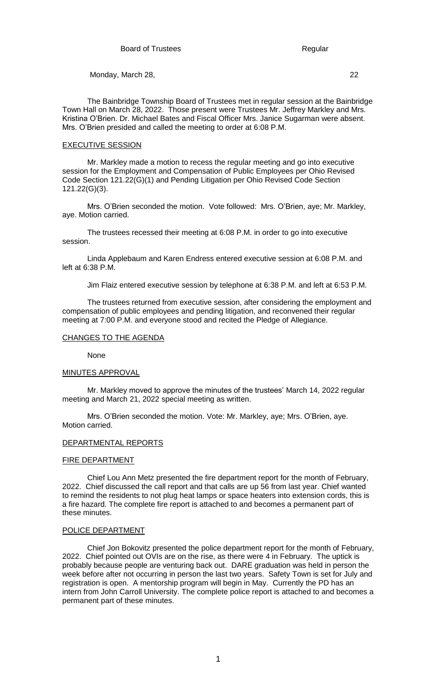The Bainbridge Township Board of Trustees met in regular session at the Bainbridge Town Hall on March 28, 2022. Those present were Trustees Mr. Jeffrey Markley and Mrs. Kristina O'Brien. Dr. Michael Bates and Fiscal Officer Mrs. Janice Sugarman were absent. Mrs. O'Brien presided and called the meeting to order at 6:08 P.M.

#### EXECUTIVE SESSION

Mr. Markley made a motion to recess the regular meeting and go into executive session for the Employment and Compensation of Public Employees per Ohio Revised Code Section 121.22(G)(1) and Pending Litigation per Ohio Revised Code Section 121.22(G)(3).

Mrs. O'Brien seconded the motion. Vote followed: Mrs. O'Brien, aye; Mr. Markley, aye. Motion carried.

The trustees recessed their meeting at 6:08 P.M. in order to go into executive session.

Linda Applebaum and Karen Endress entered executive session at 6:08 P.M. and left at 6:38 P.M.

Jim Flaiz entered executive session by telephone at 6:38 P.M. and left at 6:53 P.M.

The trustees returned from executive session, after considering the employment and compensation of public employees and pending litigation, and reconvened their regular meeting at 7:00 P.M. and everyone stood and recited the Pledge of Allegiance.

## CHANGES TO THE AGENDA

None

#### MINUTES APPROVAL

Mr. Markley moved to approve the minutes of the trustees' March 14, 2022 regular meeting and March 21, 2022 special meeting as written.

Mrs. O'Brien seconded the motion. Vote: Mr. Markley, aye; Mrs. O'Brien, aye. Motion carried.

#### DEPARTMENTAL REPORTS

#### FIRE DEPARTMENT

Chief Lou Ann Metz presented the fire department report for the month of February, 2022. Chief discussed the call report and that calls are up 56 from last year. Chief wanted to remind the residents to not plug heat lamps or space heaters into extension cords, this is a fire hazard. The complete fire report is attached to and becomes a permanent part of these minutes.

#### POLICE DEPARTMENT

Chief Jon Bokovitz presented the police department report for the month of February, 2022. Chief pointed out OVIs are on the rise, as there were 4 in February. The uptick is probably because people are venturing back out. DARE graduation was held in person the week before after not occurring in person the last two years. Safety Town is set for July and registration is open. A mentorship program will begin in May. Currently the PD has an intern from John Carroll University. The complete police report is attached to and becomes a permanent part of these minutes.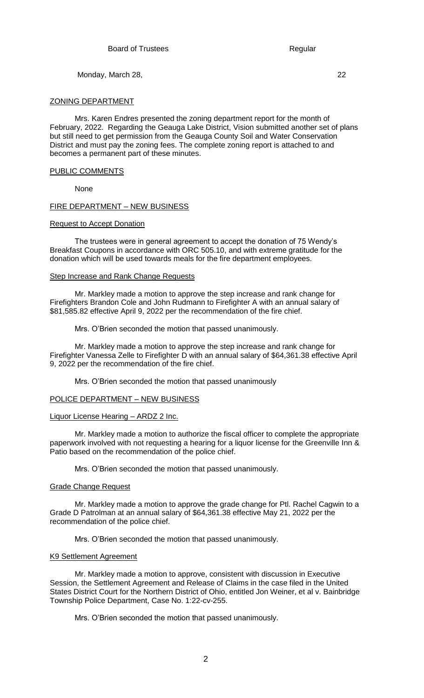ZONING DEPARTMENT

Mrs. Karen Endres presented the zoning department report for the month of February, 2022. Regarding the Geauga Lake District, Vision submitted another set of plans but still need to get permission from the Geauga County Soil and Water Conservation District and must pay the zoning fees. The complete zoning report is attached to and becomes a permanent part of these minutes.

## PUBLIC COMMENTS

None

## FIRE DEPARTMENT – NEW BUSINESS

### Request to Accept Donation

The trustees were in general agreement to accept the donation of 75 Wendy's Breakfast Coupons in accordance with ORC 505.10, and with extreme gratitude for the donation which will be used towards meals for the fire department employees.

### Step Increase and Rank Change Requests

Mr. Markley made a motion to approve the step increase and rank change for Firefighters Brandon Cole and John Rudmann to Firefighter A with an annual salary of \$81,585.82 effective April 9, 2022 per the recommendation of the fire chief.

Mrs. O'Brien seconded the motion that passed unanimously.

Mr. Markley made a motion to approve the step increase and rank change for Firefighter Vanessa Zelle to Firefighter D with an annual salary of \$64,361.38 effective April 9, 2022 per the recommendation of the fire chief.

Mrs. O'Brien seconded the motion that passed unanimously

## POLICE DEPARTMENT – NEW BUSINESS

### Liquor License Hearing – ARDZ 2 Inc.

Mr. Markley made a motion to authorize the fiscal officer to complete the appropriate paperwork involved with not requesting a hearing for a liquor license for the Greenville Inn & Patio based on the recommendation of the police chief.

Mrs. O'Brien seconded the motion that passed unanimously.

### Grade Change Request

Mr. Markley made a motion to approve the grade change for Ptl. Rachel Cagwin to a Grade D Patrolman at an annual salary of \$64,361.38 effective May 21, 2022 per the recommendation of the police chief.

Mrs. O'Brien seconded the motion that passed unanimously.

### K9 Settlement Agreement

Mr. Markley made a motion to approve, consistent with discussion in Executive Session, the Settlement Agreement and Release of Claims in the case filed in the United States District Court for the Northern District of Ohio, entitled Jon Weiner, et al v. Bainbridge Township Police Department, Case No. 1:22-cv-255.

Mrs. O'Brien seconded the motion that passed unanimously.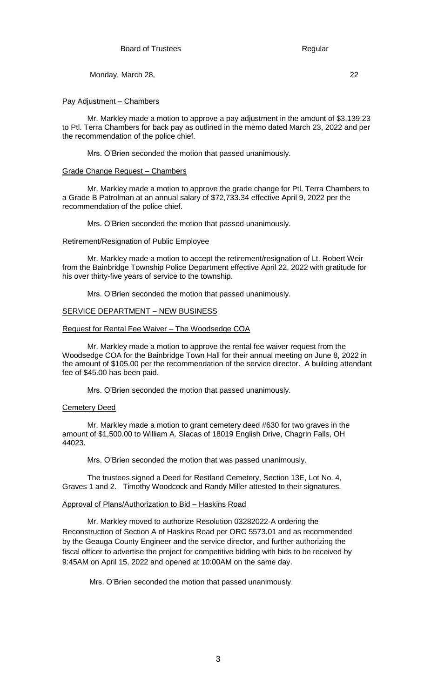## Pay Adjustment – Chambers

Mr. Markley made a motion to approve a pay adjustment in the amount of \$3,139.23 to Ptl. Terra Chambers for back pay as outlined in the memo dated March 23, 2022 and per the recommendation of the police chief.

Mrs. O'Brien seconded the motion that passed unanimously.

# Grade Change Request – Chambers

Mr. Markley made a motion to approve the grade change for Ptl. Terra Chambers to a Grade B Patrolman at an annual salary of \$72,733.34 effective April 9, 2022 per the recommendation of the police chief.

Mrs. O'Brien seconded the motion that passed unanimously.

# Retirement/Resignation of Public Employee

Mr. Markley made a motion to accept the retirement/resignation of Lt. Robert Weir from the Bainbridge Township Police Department effective April 22, 2022 with gratitude for his over thirty-five years of service to the township.

Mrs. O'Brien seconded the motion that passed unanimously.

# **SERVICE DEPARTMENT - NEW BUSINESS**

# Request for Rental Fee Waiver – The Woodsedge COA

Mr. Markley made a motion to approve the rental fee waiver request from the Woodsedge COA for the Bainbridge Town Hall for their annual meeting on June 8, 2022 in the amount of \$105.00 per the recommendation of the service director. A building attendant fee of \$45.00 has been paid.

Mrs. O'Brien seconded the motion that passed unanimously.

### Cemetery Deed

Mr. Markley made a motion to grant cemetery deed #630 for two graves in the amount of \$1,500.00 to William A. Slacas of 18019 English Drive, Chagrin Falls, OH 44023.

Mrs. O'Brien seconded the motion that was passed unanimously.

The trustees signed a Deed for Restland Cemetery, Section 13E, Lot No. 4, Graves 1 and 2. Timothy Woodcock and Randy Miller attested to their signatures.

### Approval of Plans/Authorization to Bid – Haskins Road

Mr. Markley moved to authorize Resolution 03282022-A ordering the Reconstruction of Section A of Haskins Road per ORC 5573.01 and as recommended by the Geauga County Engineer and the service director, and further authorizing the fiscal officer to advertise the project for competitive bidding with bids to be received by 9:45AM on April 15, 2022 and opened at 10:00AM on the same day.

Mrs. O'Brien seconded the motion that passed unanimously.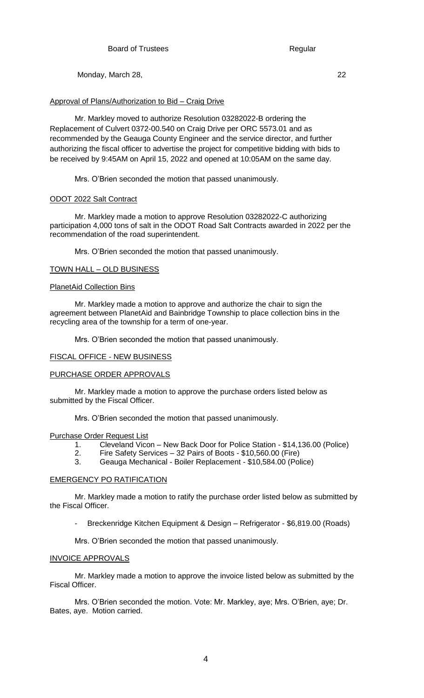# Approval of Plans/Authorization to Bid – Craig Drive

Mr. Markley moved to authorize Resolution 03282022-B ordering the Replacement of Culvert 0372-00.540 on Craig Drive per ORC 5573.01 and as recommended by the Geauga County Engineer and the service director, and further authorizing the fiscal officer to advertise the project for competitive bidding with bids to be received by 9:45AM on April 15, 2022 and opened at 10:05AM on the same day.

Mrs. O'Brien seconded the motion that passed unanimously.

# ODOT 2022 Salt Contract

Mr. Markley made a motion to approve Resolution 03282022-C authorizing participation 4,000 tons of salt in the ODOT Road Salt Contracts awarded in 2022 per the recommendation of the road superintendent.

Mrs. O'Brien seconded the motion that passed unanimously.

# TOWN HALL – OLD BUSINESS

# PlanetAid Collection Bins

Mr. Markley made a motion to approve and authorize the chair to sign the agreement between PlanetAid and Bainbridge Township to place collection bins in the recycling area of the township for a term of one-year.

Mrs. O'Brien seconded the motion that passed unanimously.

# FISCAL OFFICE - NEW BUSINESS

# PURCHASE ORDER APPROVALS

Mr. Markley made a motion to approve the purchase orders listed below as submitted by the Fiscal Officer.

Mrs. O'Brien seconded the motion that passed unanimously.

Purchase Order Request List

- 1. Cleveland Vicon New Back Door for Police Station \$14,136.00 (Police)
- 2. Fire Safety Services 32 Pairs of Boots \$10,560.00 (Fire)
- 3. Geauga Mechanical Boiler Replacement \$10,584.00 (Police)

# EMERGENCY PO RATIFICATION

Mr. Markley made a motion to ratify the purchase order listed below as submitted by the Fiscal Officer.

- Breckenridge Kitchen Equipment & Design – Refrigerator - \$6,819.00 (Roads)

Mrs. O'Brien seconded the motion that passed unanimously.

# INVOICE APPROVALS

Mr. Markley made a motion to approve the invoice listed below as submitted by the Fiscal Officer.

Mrs. O'Brien seconded the motion. Vote: Mr. Markley, aye; Mrs. O'Brien, aye; Dr. Bates, aye. Motion carried.